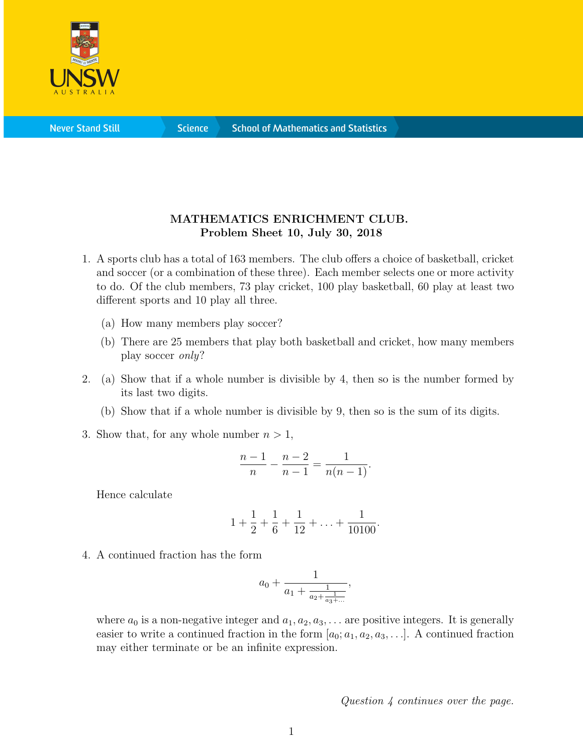

**Science** 

## MATHEMATICS ENRICHMENT CLUB. Problem Sheet 10, July 30, 2018

- 1. A sports club has a total of 163 members. The club offers a choice of basketball, cricket and soccer (or a combination of these three). Each member selects one or more activity to do. Of the club members, 73 play cricket, 100 play basketball, 60 play at least two different sports and 10 play all three.
	- (a) How many members play soccer?
	- (b) There are 25 members that play both basketball and cricket, how many members play soccer only?
- 2. (a) Show that if a whole number is divisible by 4, then so is the number formed by its last two digits.
	- (b) Show that if a whole number is divisible by 9, then so is the sum of its digits.
- 3. Show that, for any whole number  $n > 1$ ,

$$
\frac{n-1}{n} - \frac{n-2}{n-1} = \frac{1}{n(n-1)}.
$$

Hence calculate

$$
1 + \frac{1}{2} + \frac{1}{6} + \frac{1}{12} + \ldots + \frac{1}{10100}.
$$

4. A continued fraction has the form

$$
a_0 + \frac{1}{a_1 + \frac{1}{a_2 + \frac{1}{a_3 + \dotsb}}}
$$

,

where  $a_0$  is a non-negative integer and  $a_1, a_2, a_3, \ldots$  are positive integers. It is generally easier to write a continued fraction in the form  $[a_0; a_1, a_2, a_3, \ldots]$ . A continued fraction may either terminate or be an infinite expression.

Question 4 continues over the page.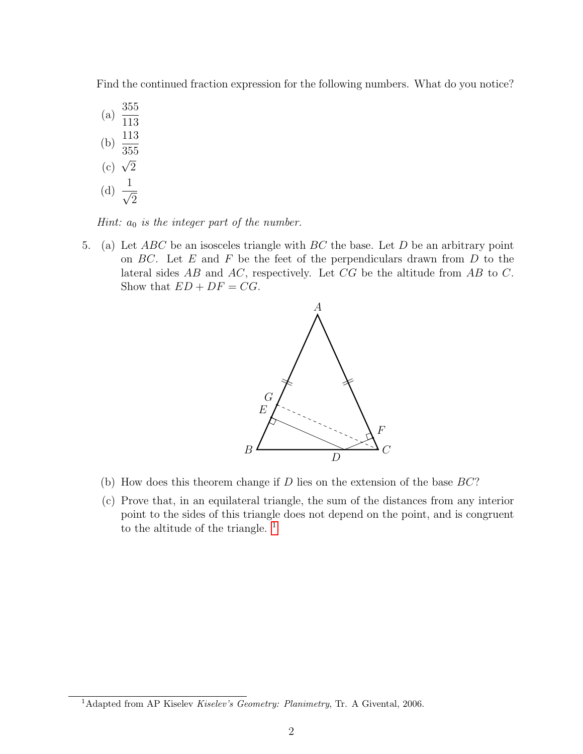Find the continued fraction expression for the following numbers. What do you notice?

- (a)  $\frac{355}{110}$ 113 (b)  $\frac{113}{255}$ 355  $\frac{338}{2}$ (d)  $\frac{1}{4}$
- 2

Hint:  $a_0$  is the integer part of the number.

5. (a) Let  $ABC$  be an isosceles triangle with  $BC$  the base. Let  $D$  be an arbitrary point on  $BC$ . Let E and F be the feet of the perpendiculars drawn from  $D$  to the lateral sides AB and AC, respectively. Let CG be the altitude from AB to C. Show that  $ED + DF = CG$ .



- (b) How does this theorem change if  $D$  lies on the extension of the base  $BC$ ?
- (c) Prove that, in an equilateral triangle, the sum of the distances from any interior point to the sides of this triangle does not depend on the point, and is congruent to the altitude of the triangle.  $<sup>1</sup>$  $<sup>1</sup>$  $<sup>1</sup>$ </sup>

<span id="page-1-0"></span><sup>&</sup>lt;sup>1</sup>Adapted from AP Kiselev Kiselev's Geometry: Planimetry, Tr. A Givental, 2006.